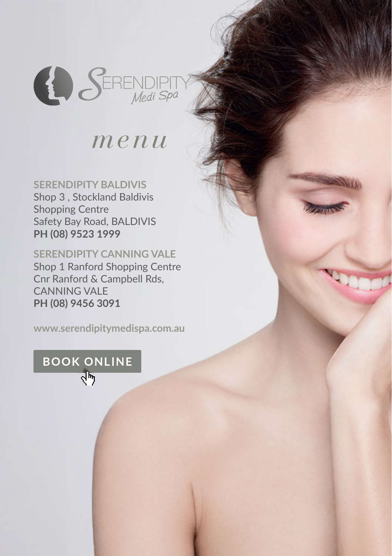

### *menu*

**SERENDIPITY BALDIVIS** Shop 3 , Stockland Baldivis Shopping Centre Safety Bay Road, BALDIVIS **PH (08) 9523 1999**

**SERENDIPITY CANNING VALE** Shop 1 Ranford Shopping Centre Cnr Ranford & Campbell Rds, CANNING VALE **PH (08) 9456 3091**

**www.serendipitymedispa.com.au**

**BOOK ONLINE** ৰ্দ্য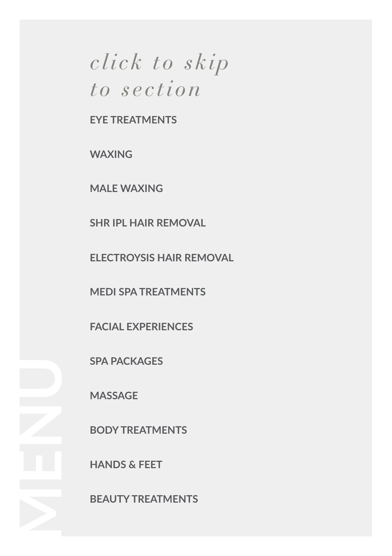## *click to skip to section*

**EYE TREATMENTS**

**WAXING**

**MALE WAXING**

**SHR IPL HAIR REMOVAL**

**ELECTROYSIS HAIR REMOVAL**

**MEDI SPA TREATMENTS**

**FACIAL EXPERIENCES**

**SPA PACKAGES**

**MASSAGE**

**BODY TREATMENTS**

**HANDS & FEET**

**BEAUTY TREATMENTS**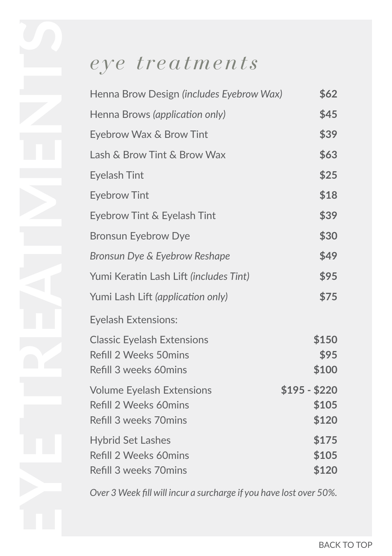# *eye treatments*

| Henna Brow Design (includes Eyebrow Wax)                                            | \$62                            |
|-------------------------------------------------------------------------------------|---------------------------------|
| Henna Brows (application only)                                                      | \$45                            |
| Eyebrow Wax & Brow Tint                                                             | \$39                            |
| Lash & Brow Tint & Brow Wax                                                         | \$63                            |
| <b>Eyelash Tint</b>                                                                 | \$25                            |
| <b>Eyebrow Tint</b>                                                                 | \$18                            |
| Eyebrow Tint & Eyelash Tint                                                         | \$39                            |
| <b>Bronsun Eyebrow Dye</b>                                                          | \$30                            |
| Bronsun Dye & Eyebrow Reshape                                                       | \$49                            |
| Yumi Keratin Lash Lift (includes Tint)                                              | \$95                            |
| Yumi Lash Lift (application only)                                                   | \$75                            |
| <b>Eyelash Extensions:</b>                                                          |                                 |
| <b>Classic Eyelash Extensions</b><br>Refill 2 Weeks 50mins<br>Refill 3 weeks 60mins | \$150<br>\$95<br>\$100          |
| <b>Volume Eyelash Extensions</b><br>Refill 2 Weeks 60mins<br>Refill 3 weeks 70mins  | $$195 - $220$<br>\$105<br>\$120 |
| <b>Hybrid Set Lashes</b><br>Refill 2 Weeks 60mins<br>Refill 3 weeks 70mins          | \$175<br>\$105<br>\$120         |

*Over 3 Week fill will incur a surcharge if you have lost over 50%.*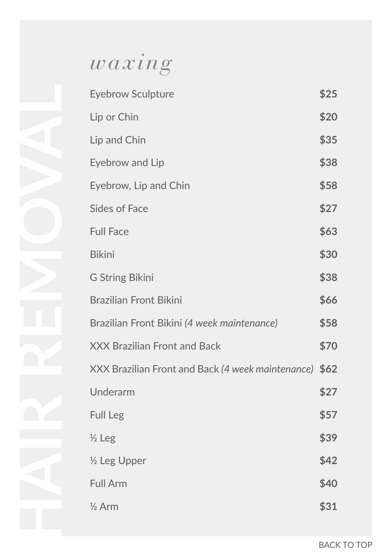# *waxing*

| <b>Eyebrow Sculpture</b>                               | \$25 |
|--------------------------------------------------------|------|
| Lip or Chin                                            | \$20 |
| Lip and Chin                                           | \$35 |
| Eyebrow and Lip                                        | \$38 |
| Eyebrow, Lip and Chin                                  | \$58 |
| <b>Sides of Face</b>                                   | \$27 |
| <b>Full Face</b>                                       | \$63 |
| <b>Bikini</b>                                          | \$30 |
| <b>G String Bikini</b>                                 | \$38 |
| <b>Brazilian Front Bikini</b>                          | \$66 |
| Brazilian Front Bikini (4 week maintenance)            | \$58 |
| <b>XXX Brazilian Front and Back</b>                    | \$70 |
| XXX Brazilian Front and Back (4 week maintenance) \$62 |      |
| Underarm                                               | \$27 |
| Full Leg                                               | \$57 |
| $\frac{1}{2}$ Leg                                      | \$39 |
| 1/2 Leg Upper                                          | \$42 |
| <b>Full Arm</b>                                        | \$40 |
| $\frac{1}{2}$ Arm                                      | \$31 |
|                                                        |      |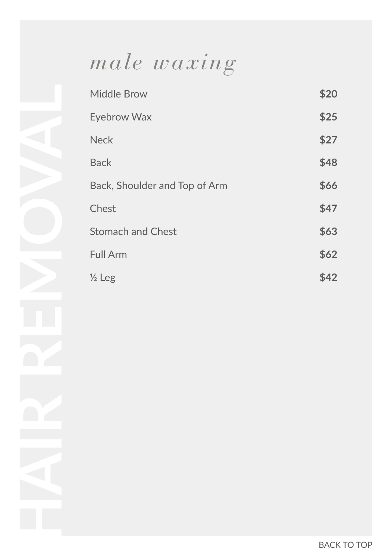## *male waxing*

| <b>Middle Brow</b>            | \$20 |
|-------------------------------|------|
| <b>Eyebrow Wax</b>            | \$25 |
| <b>Neck</b>                   | \$27 |
| <b>Back</b>                   | \$48 |
| Back, Shoulder and Top of Arm | \$66 |
| Chest                         | \$47 |
| <b>Stomach and Chest</b>      | \$63 |
| <b>Full Arm</b>               | \$62 |
| $\frac{1}{2}$ Leg             | \$42 |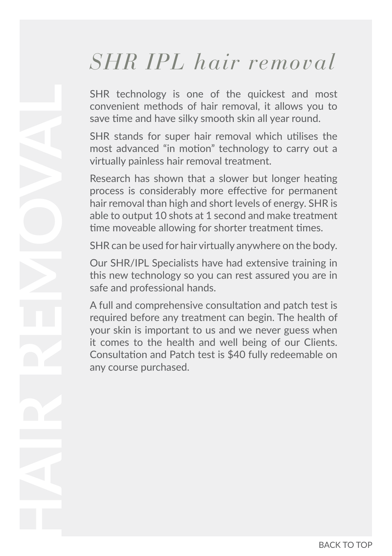## *SHR IPL hair removal*

SHR technology is one of the quickest and most convenient methods of hair removal, it allows you to save time and have silky smooth skin all year round.

SHR stands for super hair removal which utilises the most advanced "in motion" technology to carry out a virtually painless hair removal treatment.

Research has shown that a slower but longer heating process is considerably more effective for permanent hair removal than high and short levels of energy. SHR is able to output 10 shots at 1 second and make treatment time moveable allowing for shorter treatment times.

SHR can be used for hair virtually anywhere on the body.

Our SHR/IPL Specialists have had extensive training in this new technology so you can rest assured you are in safe and professional hands.

A full and comprehensive consultation and patch test is required before any treatment can begin. The health of your skin is important to us and we never guess when it comes to the health and well being of our Clients. Consultation and Patch test is \$40 fully redeemable on any course purchased.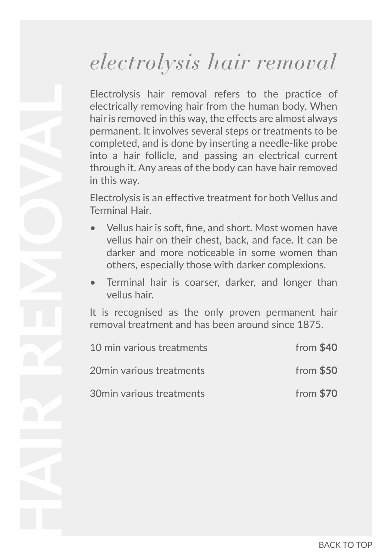## *electrolysis hair removal*

Electrolysis hair removal refers to the practice of electrically removing hair from the human body. When hair is removed in this way, the effects are almost always permanent. It involves several steps or treatments to be completed, and is done by inserting a needle-like probe into a hair follicle, and passing an electrical current through it. Any areas of the body can have hair removed in this way.

Electrolysis is an effective treatment for both Vellus and Terminal Hair.

- Vellus hair is soft, fine, and short. Most women have vellus hair on their chest, back, and face. It can be darker and more noticeable in some women than others, especially those with darker complexions.
- Terminal hair is coarser, darker, and longer than vellus hair.

It is recognised as the only proven permanent hair removal treatment and has been around since 1875.

| 10 min various treatments | from $$40$ |
|---------------------------|------------|
| 20min various treatments  | from $$50$ |
| 30min various treatments  | from $$70$ |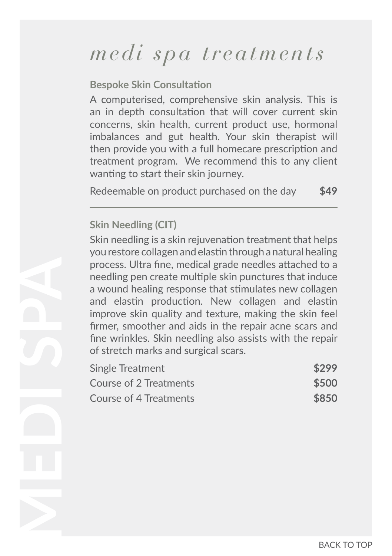**Bespoke Skin Consultation**

A computerised, comprehensive skin analysis. This is an in depth consultation that will cover current skin concerns, skin health, current product use, hormonal imbalances and gut health. Your skin therapist will then provide you with a full homecare prescription and treatment program. We recommend this to any client wanting to start their skin journey.

Redeemable on product purchased on the day **\$49**

#### **Skin Needling (CIT)**

Skin needling is a skin rejuvenation treatment that helps you restore collagen and elastin through a natural healing process. Ultra fine, medical grade needles attached to a needling pen create multiple skin punctures that induce a wound healing response that stimulates new collagen and elastin production. New collagen and elastin improve skin quality and texture, making the skin feel firmer, smoother and aids in the repair acne scars and fine wrinkles. Skin needling also assists with the repair of stretch marks and surgical scars.

| Single Treatment       | \$299 |
|------------------------|-------|
| Course of 2 Treatments | \$500 |
| Course of 4 Treatments | \$850 |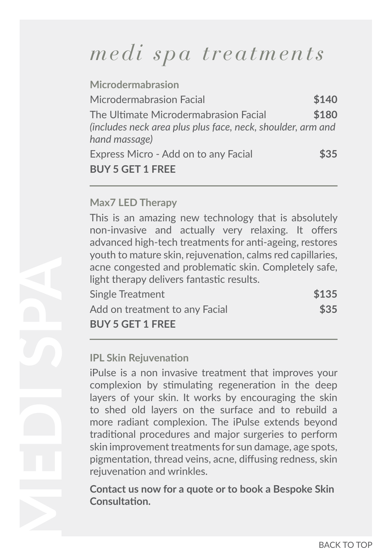| <b>Microdermabrasion</b>                                                                                              |       |
|-----------------------------------------------------------------------------------------------------------------------|-------|
| Microdermabrasion Facial                                                                                              | \$140 |
| The Ultimate Microdermabrasion Facial<br>(includes neck area plus plus face, neck, shoulder, arm and<br>hand massage) | \$180 |
| Express Micro - Add on to any Facial                                                                                  | \$35  |
| <b>BUY 5 GET 1 FREE</b>                                                                                               |       |

#### **Max7 LED Therapy**

This is an amazing new technology that is absolutely non-invasive and actually very relaxing. It offers advanced high-tech treatments for anti-ageing, restores youth to mature skin, rejuvenation, calms red capillaries, acne congested and problematic skin. Completely safe, light therapy delivers fantastic results.

| Single Treatment               | \$135 |
|--------------------------------|-------|
| Add on treatment to any Facial | \$35  |
| <b>BUY 5 GET 1 FREE</b>        |       |

#### **IPL Skin Rejuvenation**

iPulse is a non invasive treatment that improves your complexion by stimulating regeneration in the deep layers of your skin. It works by encouraging the skin to shed old layers on the surface and to rebuild a more radiant complexion. The iPulse extends beyond traditional procedures and major surgeries to perform skin improvement treatments for sun damage, age spots, pigmentation, thread veins, acne, diffusing redness, skin rejuvenation and wrinkles.

**Contact us now for a quote or to book a Bespoke Skin Consultation.**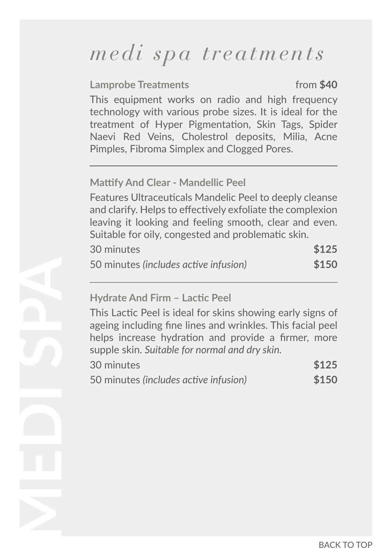#### **Lamprobe Treatments** from \$40

This equipment works on radio and high frequency technology with various probe sizes. It is ideal for the treatment of Hyper Pigmentation, Skin Tags, Spider Naevi Red Veins, Cholestrol deposits, Milia, Acne Pimples, Fibroma Simplex and Clogged Pores.

#### **Mattify And Clear - Mandellic Peel**

Features Ultraceuticals Mandelic Peel to deeply cleanse and clarify. Helps to effectively exfoliate the complexion leaving it looking and feeling smooth, clear and even. Suitable for oily, congested and problematic skin.

| 30 minutes                            | \$125 |
|---------------------------------------|-------|
| 50 minutes (includes active infusion) | \$150 |

#### **Hydrate And Firm – Lactic Peel**

This Lactic Peel is ideal for skins showing early signs of ageing including fine lines and wrinkles. This facial peel helps increase hydration and provide a firmer, more supple skin. *Suitable for normal and dry skin.*

| 30 minutes                            | \$125 |
|---------------------------------------|-------|
| 50 minutes (includes active infusion) | \$150 |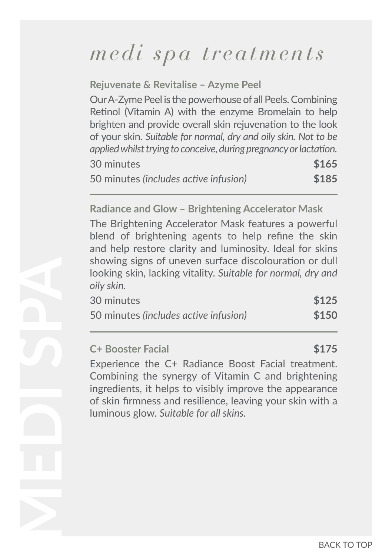**Rejuvenate & Revitalise – Azyme Peel**  Our A-Zyme Peel is the powerhouse of all Peels. Combining Retinol (Vitamin A) with the enzyme Bromelain to help brighten and provide overall skin rejuvenation to the look of your skin. *Suitable for normal, dry and oily skin. Not to be applied whilst trying to conceive, during pregnancy or lactation.*  30 minutes **\$165** 50 minutes *(includes active infusion)* **\$185**

**Radiance and Glow – Brightening Accelerator Mask**

The Brightening Accelerator Mask features a powerful blend of brightening agents to help refine the skin and help restore clarity and luminosity. Ideal for skins showing signs of uneven surface discolouration or dull looking skin, lacking vitality. *Suitable for normal, dry and oily skin.*

| 30 minutes                            | \$125 |
|---------------------------------------|-------|
| 50 minutes (includes active infusion) | \$150 |

### **C+ Booster Facial \$175**

Experience the C+ Radiance Boost Facial treatment. Combining the synergy of Vitamin C and brightening ingredients, it helps to visibly improve the appearance of skin firmness and resilience, leaving your skin with a luminous glow. *Suitable for all skins.*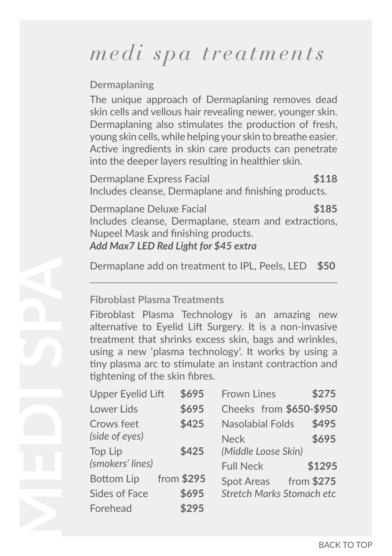#### **Dermaplaning**

The unique approach of Dermaplaning removes dead skin cells and vellous hair revealing newer, younger skin. Dermaplaning also stimulates the production of fresh, young skin cells, while helping your skin to breathe easier. Active ingredients in skin care products can penetrate into the deeper layers resulting in healthier skin.

Dermaplane Express Facial **\$118** Includes cleanse, Dermaplane and finishing products.

Dermaplane Deluxe Facial **\$185** Includes cleanse, Dermaplane, steam and extractions, Nupeel Mask and finishing products. *Add Max7 LED Red Light for \$45 extra*

Dermaplane add on treatment to IPL, Peels, LED **\$50**

#### **Fibroblast Plasma Treatments**

Fibroblast Plasma Technology is an amazing new alternative to Eyelid Lift Surgery. It is a non-invasive treatment that shrinks excess skin, bags and wrinkles, using a new 'plasma technology'. It works by using a tiny plasma arc to stimulate an instant contraction and tightening of the skin fibres.

| <b>Upper Eyelid Lift</b> | \$695      | <b>Frown Lines</b>               | \$275  |
|--------------------------|------------|----------------------------------|--------|
| Lower Lids               | \$695      | Cheeks from \$650-\$950          |        |
| Crows feet               | \$425      | <b>Nasolabial Folds</b>          | \$495  |
| (side of eyes)           |            | <b>Neck</b>                      | \$695  |
| Top Lip                  | \$425      | (Middle Loose Skin)              |        |
| (smokers' lines)         |            | <b>Full Neck</b>                 | \$1295 |
| Bottom Lip               | from \$295 | Spot Areas from \$275            |        |
| <b>Sides of Face</b>     | \$695      | <b>Stretch Marks Stomach etc</b> |        |
| Forehead                 | \$295      |                                  |        |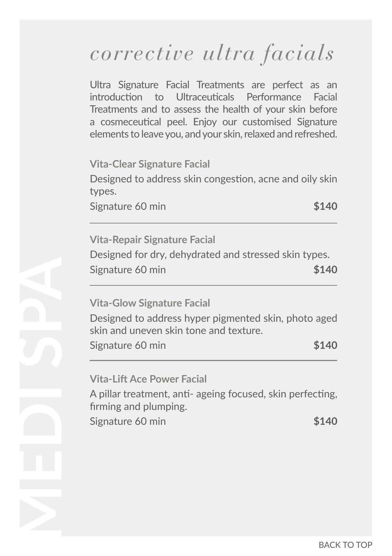## *corrective ultra facials*

Ultra Signature Facial Treatments are perfect as an introduction to Ultraceuticals Performance Facial Treatments and to assess the health of your skin before a cosmeceutical peel. Enjoy our customised Signature elements to leave you, and your skin, relaxed and refreshed.

**Vita-Clear Signature Facial** 

Designed to address skin congestion, acne and oily skin types.

Signature 60 min **\$140** 

### **Vita-Repair Signature Facial**  Designed for dry, dehydrated and stressed skin types. Signature 60 min **\$140**

### **Vita-Glow Signature Facial**

Designed to address hyper pigmented skin, photo aged skin and uneven skin tone and texture.

Signature 60 min **\$140** 

### **Vita-Lift Ace Power Facial**

A pillar treatment, anti- ageing focused, skin perfecting, firming and plumping.

Signature 60 min **\$140**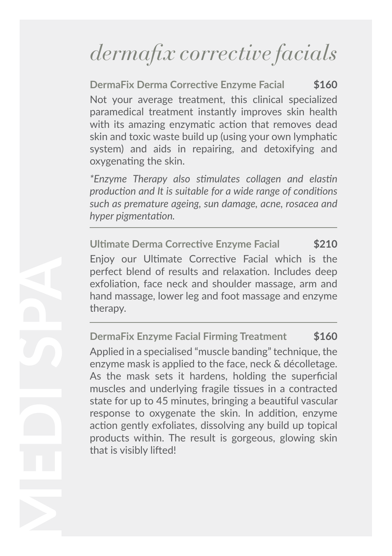# *dermafix corrective facials*

**DermaFix Derma Corrective Enzyme Facial \$160** Not your average treatment, this clinical specialized paramedical treatment instantly improves skin health with its amazing enzymatic action that removes dead skin and toxic waste build up (using your own lymphatic system) and aids in repairing, and detoxifying and oxygenating the skin.

*\*Enzyme Therapy also stimulates collagen and elastin production and It is suitable for a wide range of conditions such as premature ageing, sun damage, acne, rosacea and hyper pigmentation.* 

**Ultimate Derma Corrective Enzyme Facial \$210** Enjoy our Ultimate Corrective Facial which is the perfect blend of results and relaxation. Includes deep exfoliation, face neck and shoulder massage, arm and hand massage, lower leg and foot massage and enzyme therapy.

**DermaFix Enzyme Facial Firming Treatment \$160** Applied in a specialised "muscle banding" technique, the enzyme mask is applied to the face, neck & décolletage. As the mask sets it hardens, holding the superficial muscles and underlying fragile tissues in a contracted state for up to 45 minutes, bringing a beautiful vascular response to oxygenate the skin. In addition, enzyme action gently exfoliates, dissolving any build up topical products within. The result is gorgeous, glowing skin that is visibly lifted!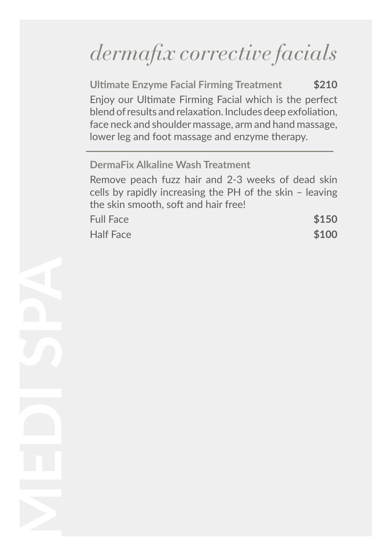# *dermafix corrective facials*

**Ultimate Enzyme Facial Firming Treatment \$210** Enjoy our Ultimate Firming Facial which is the perfect blend of results and relaxation. Includes deep exfoliation, face neck and shoulder massage, arm and hand massage, lower leg and foot massage and enzyme therapy.

### **DermaFix Alkaline Wash Treatment**

Remove peach fuzz hair and 2-3 weeks of dead skin cells by rapidly increasing the PH of the skin – leaving the skin smooth, soft and hair free!

| <b>Full Face</b> | \$150 |
|------------------|-------|
| <b>Half Face</b> | \$100 |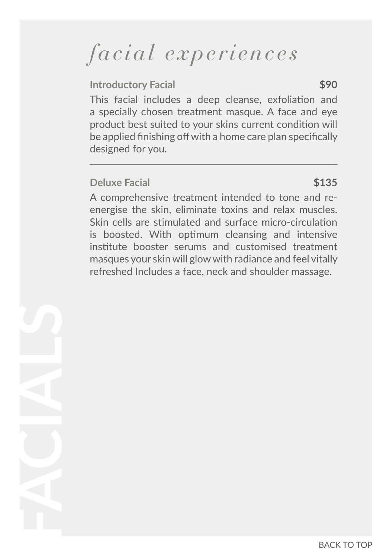## *facial experiences*

#### **Introductory Facial \$90**

This facial includes a deep cleanse, exfoliation and a specially chosen treatment masque. A face and eye product best suited to your skins current condition will be applied finishing off with a home care plan specifically designed for you.

#### **Deluxe Facial** \$135

A comprehensive treatment intended to tone and reenergise the skin, eliminate toxins and relax muscles. Skin cells are stimulated and surface micro-circulation is boosted. With optimum cleansing and intensive institute booster serums and customised treatment masques your skin will glow with radiance and feel vitally refreshed Includes a face, neck and shoulder massage.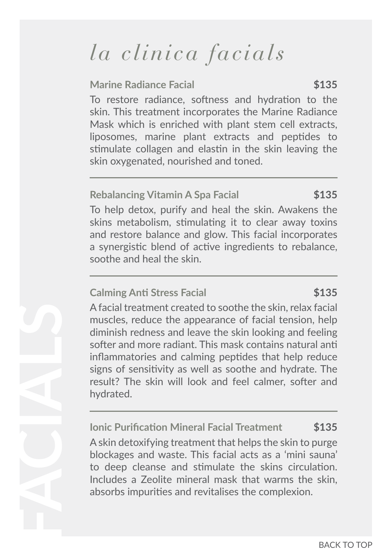# *la clinica facials*

#### **Marine Radiance Facial 5135**

To restore radiance, softness and hydration to the skin. This treatment incorporates the Marine Radiance Mask which is enriched with plant stem cell extracts, liposomes, marine plant extracts and peptides to stimulate collagen and elastin in the skin leaving the skin oxygenated, nourished and toned.

#### **Rebalancing Vitamin A Spa Facial \$135**

To help detox, purify and heal the skin. Awakens the skins metabolism, stimulating it to clear away toxins and restore balance and glow. This facial incorporates a synergistic blend of active ingredients to rebalance, soothe and heal the skin.

#### **Calming Anti Stress Facial \$135**

A facial treatment created to soothe the skin, relax facial muscles, reduce the appearance of facial tension, help diminish redness and leave the skin looking and feeling softer and more radiant. This mask contains natural anti inflammatories and calming peptides that help reduce signs of sensitivity as well as soothe and hydrate. The result? The skin will look and feel calmer, softer and hydrated.

**Ionic Purification Mineral Facial Treatment \$135** A skin detoxifying treatment that helps the skin to purge blockages and waste. This facial acts as a 'mini sauna' to deep cleanse and stimulate the skins circulation. Includes a Zeolite mineral mask that warms the skin, absorbs impurities and revitalises the complexion.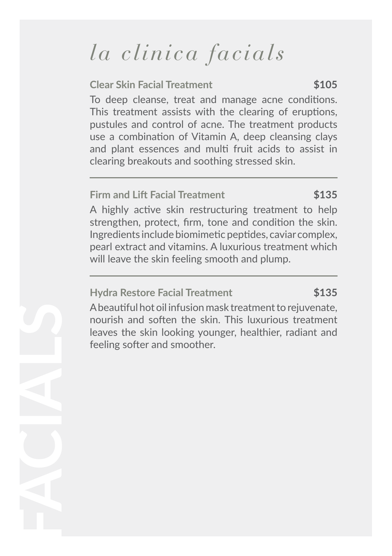# *la clinica facials*

#### **Clear Skin Facial Treatment \$105**

To deep cleanse, treat and manage acne conditions. This treatment assists with the clearing of eruptions, pustules and control of acne. The treatment products use a combination of Vitamin A, deep cleansing clays and plant essences and multi fruit acids to assist in clearing breakouts and soothing stressed skin.

#### **Firm and Lift Facial Treatment \$135**

A highly active skin restructuring treatment to help strengthen, protect, firm, tone and condition the skin. Ingredients include biomimetic peptides, caviar complex, pearl extract and vitamins. A luxurious treatment which will leave the skin feeling smooth and plump.

#### **Hydra Restore Facial Treatment \$135**

A beautiful hot oil infusion mask treatment to rejuvenate, nourish and soften the skin. This luxurious treatment leaves the skin looking younger, healthier, radiant and feeling softer and smoother.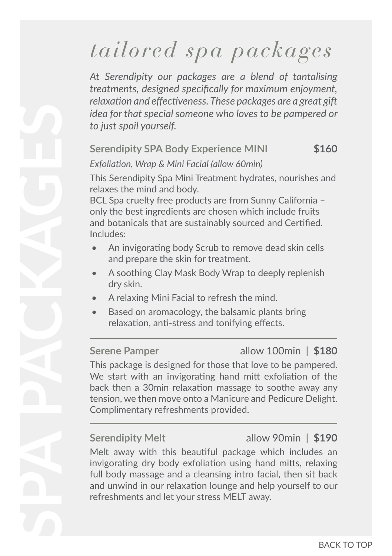# *tailored spa packages*

*At Serendipity our packages are a blend of tantalising treatments, designed specifically for maximum enjoyment, relaxation and effectiveness. These packages are a great gift idea for that special someone who loves to be pampered or to just spoil yourself.* 

#### **Serendipity SPA Body Experience MINI \$160**

*Exfoliation, Wrap & Mini Facial (allow 60min)*

This Serendipity Spa Mini Treatment hydrates, nourishes and relaxes the mind and body.

BCL Spa cruelty free products are from Sunny California – only the best ingredients are chosen which include fruits and botanicals that are sustainably sourced and Certified. Includes:

- An invigorating body Scrub to remove dead skin cells and prepare the skin for treatment.
- A soothing Clay Mask Body Wrap to deeply replenish dry skin.
- A relaxing Mini Facial to refresh the mind.
- Based on aromacology, the balsamic plants bring relaxation, anti-stress and tonifying effects.

### **Serene Pamper** allow 100min **| \$180**

This package is designed for those that love to be pampered. We start with an invigorating hand mitt exfoliation of the back then a 30min relaxation massage to soothe away any tension, we then move onto a Manicure and Pedicure Delight. Complimentary refreshments provided.

**Serendipity Melt** allow 90min **| \$190**

Melt away with this beautiful package which includes an invigorating dry body exfoliation using hand mitts, relaxing full body massage and a cleansing intro facial, then sit back and unwind in our relaxation lounge and help yourself to our refreshments and let your stress MELT away.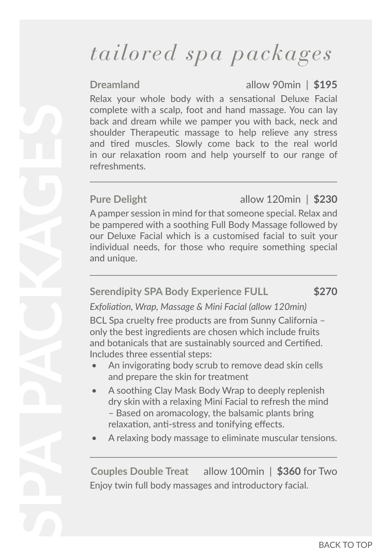# *tailored spa packages*

**Dreamland** allow 90min **| \$195**

Relax your whole body with a sensational Deluxe Facial complete with a scalp, foot and hand massage. You can lay back and dream while we pamper you with back, neck and shoulder Therapeutic massage to help relieve any stress and tired muscles. Slowly come back to the real world in our relaxation room and help yourself to our range of refreshments.

### **Pure Delight** allow 120min **| \$230**

A pamper session in mind for that someone special. Relax and be pampered with a soothing Full Body Massage followed by our Deluxe Facial which is a customised facial to suit your individual needs, for those who require something special and unique.

#### **Serendipity SPA Body Experience FULL \$270**

*Exfoliation, Wrap, Massage & Mini Facial (allow 120min)*

BCL Spa cruelty free products are from Sunny California – only the best ingredients are chosen which include fruits and botanicals that are sustainably sourced and Certified. Includes three essential steps:

- An invigorating body scrub to remove dead skin cells and prepare the skin for treatment
- A soothing Clay Mask Body Wrap to deeply replenish dry skin with a relaxing Mini Facial to refresh the mind – Based on aromacology, the balsamic plants bring relaxation, anti-stress and tonifying effects.
- A relaxing body massage to eliminate muscular tensions.

**Couples Double Treat** allow 100min **| \$360** for Two Enjoy twin full body massages and introductory facial.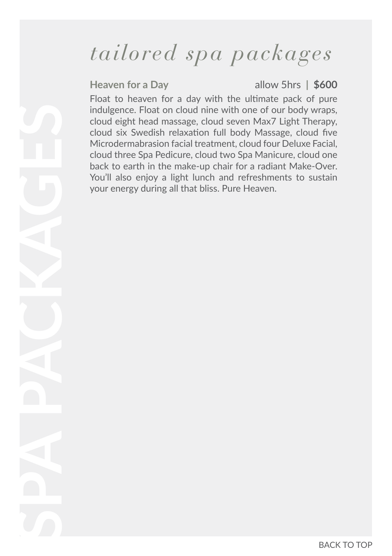## *tailored spa packages*

**Heaven for a Day** allow 5hrs **| \$600**

Float to heaven for a day with the ultimate pack of pure indulgence. Float on cloud nine with one of our body wraps, cloud eight head massage, cloud seven Max7 Light Therapy, cloud six Swedish relaxation full body Massage, cloud five Microdermabrasion facial treatment, cloud four Deluxe Facial, cloud three Spa Pedicure, cloud two Spa Manicure, cloud one back to earth in the make-up chair for a radiant Make-Over. You'll also enjoy a light lunch and refreshments to sustain your energy during all that bliss. Pure Heaven.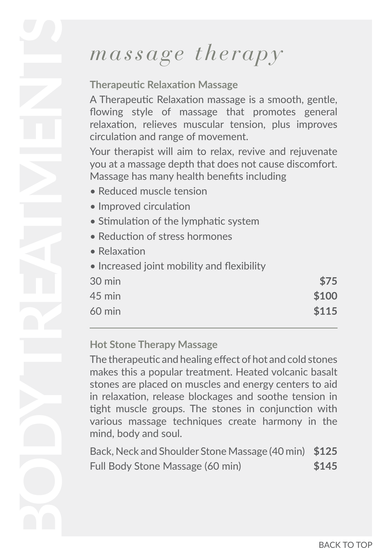# *massage therapy*

### **Therapeutic Relaxation Massage**

A Therapeutic Relaxation massage is a smooth, gentle, flowing style of massage that promotes general relaxation, relieves muscular tension, plus improves circulation and range of movement.

Your therapist will aim to relax, revive and rejuvenate you at a massage depth that does not cause discomfort. Massage has many health benefits including

- Reduced muscle tension
- Improved circulation
- Stimulation of the lymphatic system
- Reduction of stress hormones
- Relaxation
- Increased joint mobility and flexibility

| 30 min           | \$75  |
|------------------|-------|
| 45 min           | \$100 |
| $60 \text{ min}$ | \$115 |

#### **Hot Stone Therapy Massage**

The therapeutic and healing effect of hot and cold stones makes this a popular treatment. Heated volcanic basalt stones are placed on muscles and energy centers to aid in relaxation, release blockages and soothe tension in tight muscle groups. The stones in conjunction with various massage techniques create harmony in the mind, body and soul.

Back, Neck and Shoulder Stone Massage (40 min) **\$125** Full Body Stone Massage (60 min) **\$145**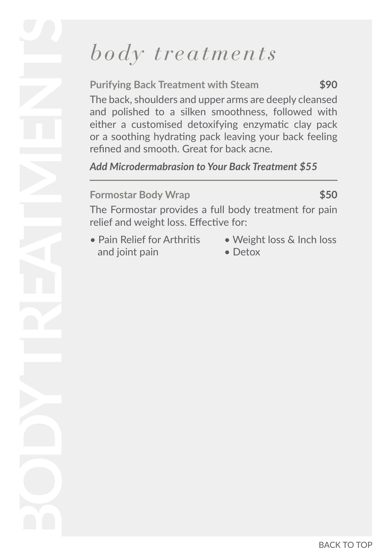## *body treatments*

**Purifying Back Treatment with Steam \$90** The back, shoulders and upper arms are deeply cleansed and polished to a silken smoothness, followed with either a customised detoxifying enzymatic clay pack or a soothing hydrating pack leaving your back feeling refined and smooth. Great for back acne.

*Add Microdermabrasion to Your Back Treatment \$55* 

#### **Formostar Body Wrap \$50**

The Formostar provides a full body treatment for pain relief and weight loss. Effective for:

- and joint pain Detox
- Pain Relief for Arthritis Weight loss & Inch loss
	-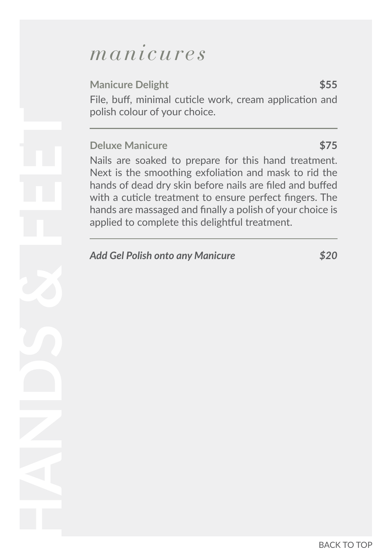### *manicures*

### **Manicure Delight 555**

File, buff, minimal cuticle work, cream application and polish colour of your choice.

#### **Deluxe Manicure 675**

Nails are soaked to prepare for this hand treatment. Next is the smoothing exfoliation and mask to rid the hands of dead dry skin before nails are filed and buffed with a cuticle treatment to ensure perfect fingers. The hands are massaged and finally a polish of your choice is applied to complete this delightful treatment.

### *Add Gel Polish onto any Manicure \$20*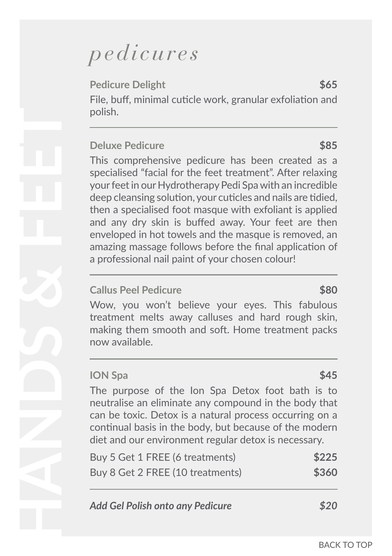## *pedicures*

**Pedicure Delight 565** File, buff, minimal cuticle work, granular exfoliation and polish.

#### **Deluxe Pedicure 1999 \$85**

This comprehensive pedicure has been created as a specialised "facial for the feet treatment". After relaxing your feet in our Hydrotherapy Pedi Spa with an incredible deep cleansing solution, your cuticles and nails are tidied, then a specialised foot masque with exfoliant is applied and any dry skin is buffed away. Your feet are then enveloped in hot towels and the masque is removed, an amazing massage follows before the final application of a professional nail paint of your chosen colour!

### **Callus Peel Pedicure** \$80

Wow, you won't believe your eyes. This fabulous treatment melts away calluses and hard rough skin, making them smooth and soft. Home treatment packs now available.

#### **ION Spa \$45**

The purpose of the Ion Spa Detox foot bath is to neutralise an eliminate any compound in the body that can be toxic. Detox is a natural process occurring on a continual basis in the body, but because of the modern diet and our environment regular detox is necessary.

| Buy 5 Get 1 FREE (6 treatments)  | \$225 |
|----------------------------------|-------|
| Buy 8 Get 2 FREE (10 treatments) | \$360 |

| <b>Add Gel Polish onto any Pedicure</b> | \$20 |
|-----------------------------------------|------|
|-----------------------------------------|------|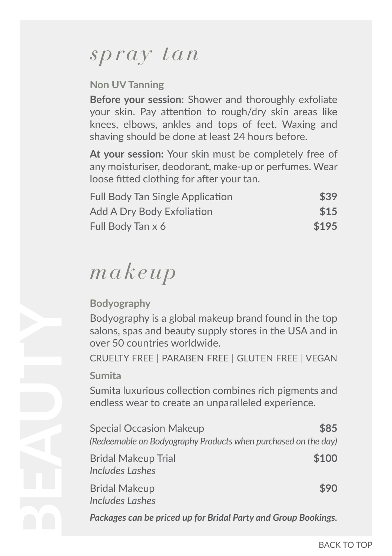### *spray tan*

### **Non UV Tanning**

**Before your session:** Shower and thoroughly exfoliate your skin. Pay attention to rough/dry skin areas like knees, elbows, ankles and tops of feet. Waxing and shaving should be done at least 24 hours before.

**At your session:** Your skin must be completely free of any moisturiser, deodorant, make-up or perfumes. Wear loose fitted clothing for after your tan.

| <b>Full Body Tan Single Application</b> | \$39  |
|-----------------------------------------|-------|
| Add A Dry Body Exfoliation              | \$15  |
| Full Body Tan x 6                       | \$195 |

## *makeup*

### **Bodyography**

Bodyography is a global makeup brand found in the top salons, spas and beauty supply stores in the USA and in over 50 countries worldwide.

CRUELTY FREE | PARABEN FREE | GLUTEN FREE | VEGAN

### **Sumita**

Sumita luxurious collection combines rich pigments and endless wear to create an unparalleled experience.

| <b>Special Occasion Makeup</b>                                 | \$85  |
|----------------------------------------------------------------|-------|
| (Redeemable on Bodyography Products when purchased on the day) |       |
| <b>Bridal Makeup Trial</b><br>Includes Lashes                  | \$100 |
| <b>Bridal Makeup</b><br>Includes Lashes                        | \$90  |
| Packages can be priced up for Bridal Party and Group Bookings. |       |

BACK TO TOP